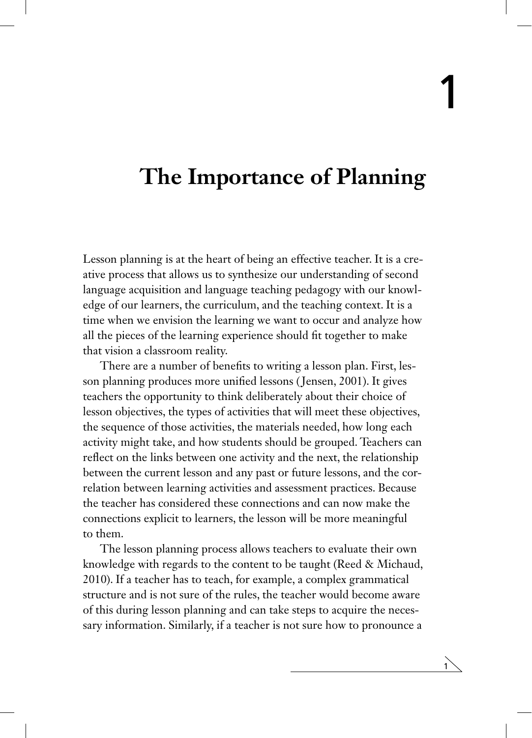1

## **The Importance of Planning**

Lesson planning is at the heart of being an effective teacher. It is a creative process that allows us to synthesize our understanding of second language acquisition and language teaching pedagogy with our knowledge of our learners, the curriculum, and the teaching context. It is a time when we envision the learning we want to occur and analyze how all the pieces of the learning experience should fit together to make that vision a classroom reality.

There are a number of benefits to writing a lesson plan. First, lesson planning produces more unified lessons ( Jensen, 2001). It gives teachers the opportunity to think deliberately about their choice of lesson objectives, the types of activities that will meet these objectives, the sequence of those activities, the materials needed, how long each activity might take, and how students should be grouped. Teachers can reflect on the links between one activity and the next, the relationship between the current lesson and any past or future lessons, and the correlation between learning activities and assessment practices. Because the teacher has considered these connections and can now make the connections explicit to learners, the lesson will be more meaningful to them.

The lesson planning process allows teachers to evaluate their own knowledge with regards to the content to be taught (Reed & Michaud, 2010). If a teacher has to teach, for example, a complex grammatical structure and is not sure of the rules, the teacher would become aware of this during lesson planning and can take steps to acquire the necessary information. Similarly, if a teacher is not sure how to pronounce a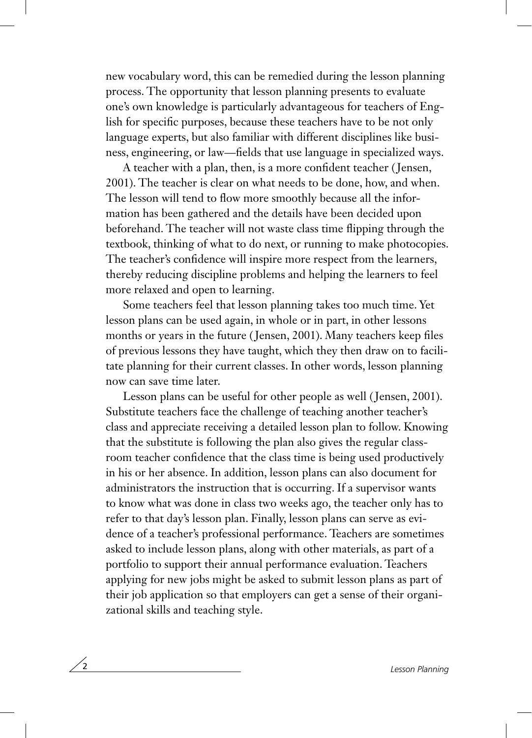new vocabulary word, this can be remedied during the lesson planning process. The opportunity that lesson planning presents to evaluate one's own knowledge is particularly advantageous for teachers of English for specific purposes, because these teachers have to be not only language experts, but also familiar with different disciplines like business, engineering, or law—fields that use language in specialized ways.

A teacher with a plan, then, is a more confident teacher ( Jensen, 2001). The teacher is clear on what needs to be done, how, and when. The lesson will tend to flow more smoothly because all the information has been gathered and the details have been decided upon beforehand. The teacher will not waste class time flipping through the textbook, thinking of what to do next, or running to make photocopies. The teacher's confidence will inspire more respect from the learners, thereby reducing discipline problems and helping the learners to feel more relaxed and open to learning.

Some teachers feel that lesson planning takes too much time. Yet lesson plans can be used again, in whole or in part, in other lessons months or years in the future ( Jensen, 2001). Many teachers keep files of previous lessons they have taught, which they then draw on to facilitate planning for their current classes. In other words, lesson planning now can save time later.

Lesson plans can be useful for other people as well ( Jensen, 2001). Substitute teachers face the challenge of teaching another teacher's class and appreciate receiving a detailed lesson plan to follow. Knowing that the substitute is following the plan also gives the regular classroom teacher confidence that the class time is being used productively in his or her absence. In addition, lesson plans can also document for administrators the instruction that is occurring. If a supervisor wants to know what was done in class two weeks ago, the teacher only has to refer to that day's lesson plan. Finally, lesson plans can serve as evidence of a teacher's professional performance. Teachers are sometimes asked to include lesson plans, along with other materials, as part of a portfolio to support their annual performance evaluation. Teachers applying for new jobs might be asked to submit lesson plans as part of their job application so that employers can get a sense of their organizational skills and teaching style.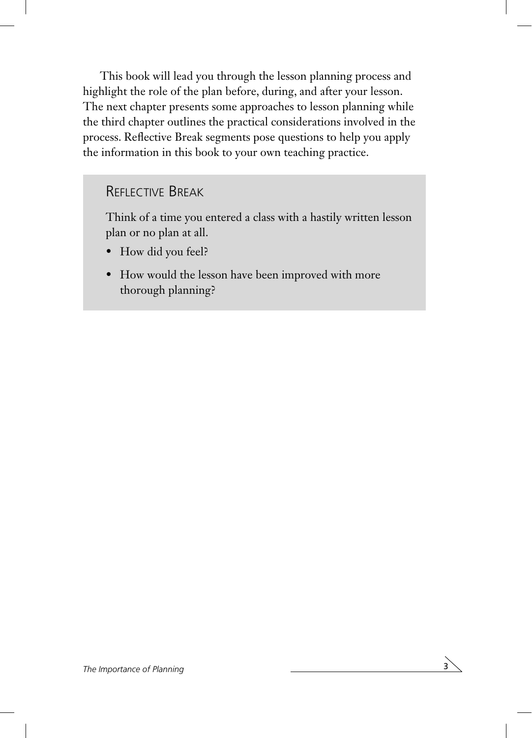This book will lead you through the lesson planning process and highlight the role of the plan before, during, and after your lesson. The next chapter presents some approaches to lesson planning while the third chapter outlines the practical considerations involved in the process. Reflective Break segments pose questions to help you apply the information in this book to your own teaching practice.

## Reflective Break

Think of a time you entered a class with a hastily written lesson plan or no plan at all.

- How did you feel?
- How would the lesson have been improved with more thorough planning?